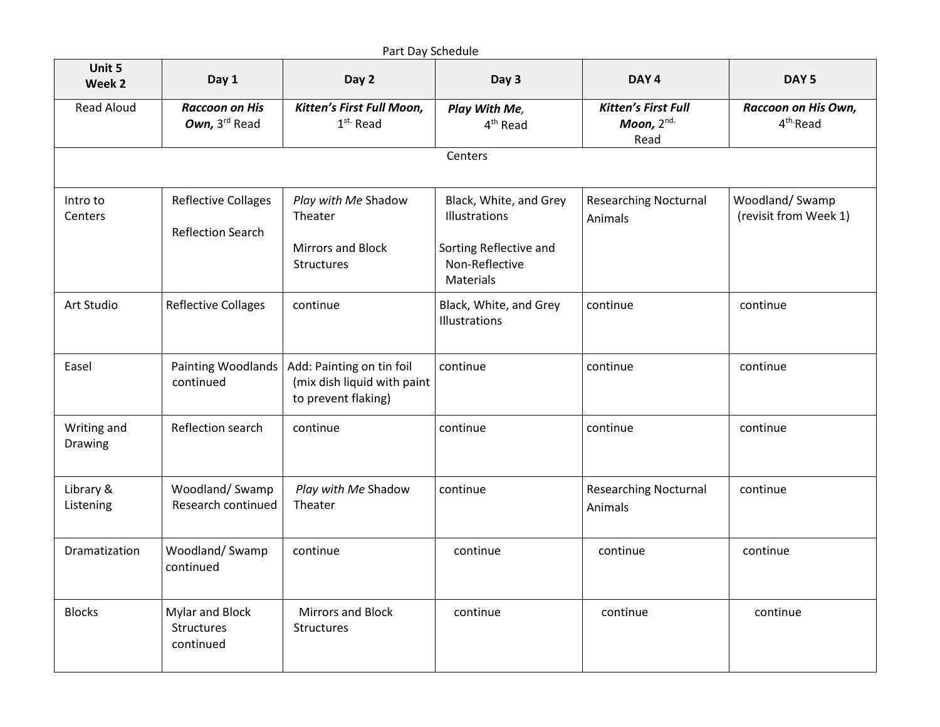|                        |                                                        | Part Day Schedule                                                               |                                                                                     |                                                      |                                             |
|------------------------|--------------------------------------------------------|---------------------------------------------------------------------------------|-------------------------------------------------------------------------------------|------------------------------------------------------|---------------------------------------------|
| Unit 5<br>Week 2       | Day 1                                                  | Day 2                                                                           | Day 3                                                                               | DAY <sub>4</sub>                                     | DAY <sub>5</sub>                            |
| <b>Read Aloud</b>      | <b>Raccoon on His</b><br>Own, 3rd Read                 | Kitten's First Full Moon,<br>$1st$ Read                                         | Play With Me,<br>4 <sup>th</sup> Read                                               | <b>Kitten's First Full</b><br>Moon, $2^{nd}$<br>Read | Raccoon on His Own,<br>4 <sup>th</sup> Read |
|                        |                                                        |                                                                                 | Centers                                                                             |                                                      |                                             |
| Intro to<br>Centers    | <b>Reflective Collages</b><br><b>Reflection Search</b> | Play with Me Shadow<br>Theater<br><b>Mirrors and Block</b><br>Structures        | Black, White, and Grey<br>Illustrations<br>Sorting Reflective and<br>Non-Reflective | <b>Researching Nocturnal</b><br>Animals              | Woodland/Swamp<br>(revisit from Week 1)     |
|                        |                                                        |                                                                                 | Materials                                                                           |                                                      |                                             |
| Art Studio             | <b>Reflective Collages</b>                             | continue                                                                        | Black, White, and Grey<br>Illustrations                                             | continue                                             | continue                                    |
| Easel                  | Painting Woodlands<br>continued                        | Add: Painting on tin foil<br>(mix dish liquid with paint<br>to prevent flaking) | continue                                                                            | continue                                             | continue                                    |
| Writing and<br>Drawing | Reflection search                                      | continue                                                                        | continue                                                                            | continue                                             | continue                                    |
| Library &<br>Listening | Woodland/Swamp<br>Research continued                   | Play with Me Shadow<br>Theater                                                  | continue                                                                            | <b>Researching Nocturnal</b><br>Animals              | continue                                    |
| Dramatization          | Woodland/Swamp<br>continued                            | continue                                                                        | continue                                                                            | continue                                             | continue                                    |
| <b>Blocks</b>          | Mylar and Block<br>Structures<br>continued             | Mirrors and Block<br>Structures                                                 | continue                                                                            | continue                                             | continue                                    |